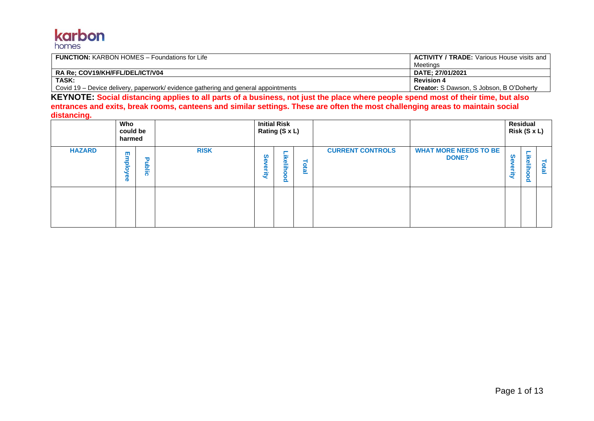## karbon homes

| <b>FUNCTION: KARBON HOMES - Foundations for Life</b>                              | <b>ACTIVITY / TRADE:</b> Various House visits and |
|-----------------------------------------------------------------------------------|---------------------------------------------------|
|                                                                                   | Meetinas                                          |
| RA Re: COV19/KH/FFL/DEL/ICT/V04                                                   | DATE: 27/01/2021                                  |
| <b>TASK:</b>                                                                      | <b>Revision 4</b>                                 |
| Covid 19 – Device delivery, paperwork/evidence gathering and general appointments | <b>Creator:</b> S Dawson, S Jobson, B O'Doherty   |

**KEYNOTE: Social distancing applies to all parts of a business, not just the place where people spend most of their time, but also entrances and exits, break rooms, canteens and similar settings. These are often the most challenging areas to maintain social distancing.**

|               | Who<br>could be<br>harmed |        |             |             | <b>Initial Risk</b><br>Rating (S x L)               |  |                         |                                              |                      | Residual<br>Risk (S x L)              |       |
|---------------|---------------------------|--------|-------------|-------------|-----------------------------------------------------|--|-------------------------|----------------------------------------------|----------------------|---------------------------------------|-------|
| <b>HAZARD</b> | т<br>ठ<br>Ō<br>8          | Public | <b>RISK</b> | ဖွ<br>erity | <b>ikelih</b><br>Lot<br>உ<br>n<br>$\mathbf{\Omega}$ |  | <b>CURRENT CONTROLS</b> | <b>WHAT MORE NEEDS TO BE</b><br><b>DONE?</b> | <b>Se</b><br>Φ<br>Ē, | <b>ikeliho</b><br>$\circ$<br>$\Omega$ | Total |
|               |                           |        |             |             |                                                     |  |                         |                                              |                      |                                       |       |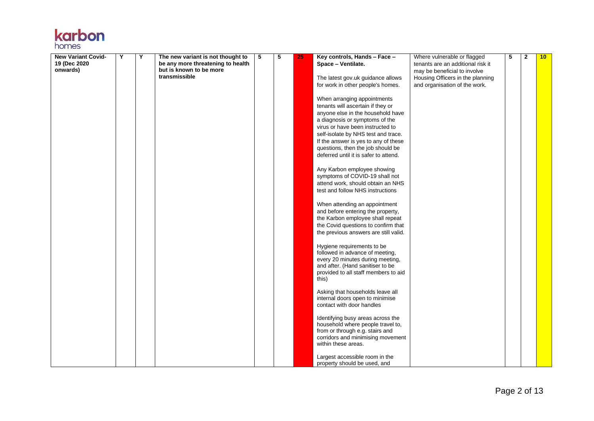| karbon |  |
|--------|--|
| homes  |  |

| <b>New Variant Covid-</b> | Y | Y | The new variant is not thought to        | 5 | 5 | 25 | Key controls, Hands - Face -                                              | Where vulnerable or flagged       | 5 | $\mathbf{2}$ | 10 <sup>1</sup> |
|---------------------------|---|---|------------------------------------------|---|---|----|---------------------------------------------------------------------------|-----------------------------------|---|--------------|-----------------|
| 19 (Dec 2020              |   |   | be any more threatening to health        |   |   |    | Space - Ventilate.                                                        | tenants are an additional risk it |   |              |                 |
| onwards)                  |   |   | but is known to be more<br>transmissible |   |   |    |                                                                           | may be beneficial to involve      |   |              |                 |
|                           |   |   |                                          |   |   |    | The latest gov.uk guidance allows                                         | Housing Officers in the planning  |   |              |                 |
|                           |   |   |                                          |   |   |    | for work in other people's homes.                                         | and organisation of the work.     |   |              |                 |
|                           |   |   |                                          |   |   |    | When arranging appointments                                               |                                   |   |              |                 |
|                           |   |   |                                          |   |   |    | tenants will ascertain if they or                                         |                                   |   |              |                 |
|                           |   |   |                                          |   |   |    | anyone else in the household have                                         |                                   |   |              |                 |
|                           |   |   |                                          |   |   |    | a diagnosis or symptoms of the                                            |                                   |   |              |                 |
|                           |   |   |                                          |   |   |    | virus or have been instructed to                                          |                                   |   |              |                 |
|                           |   |   |                                          |   |   |    | self-isolate by NHS test and trace.                                       |                                   |   |              |                 |
|                           |   |   |                                          |   |   |    | If the answer is yes to any of these<br>questions, then the job should be |                                   |   |              |                 |
|                           |   |   |                                          |   |   |    | deferred until it is safer to attend.                                     |                                   |   |              |                 |
|                           |   |   |                                          |   |   |    |                                                                           |                                   |   |              |                 |
|                           |   |   |                                          |   |   |    | Any Karbon employee showing                                               |                                   |   |              |                 |
|                           |   |   |                                          |   |   |    | symptoms of COVID-19 shall not                                            |                                   |   |              |                 |
|                           |   |   |                                          |   |   |    | attend work, should obtain an NHS                                         |                                   |   |              |                 |
|                           |   |   |                                          |   |   |    | test and follow NHS instructions                                          |                                   |   |              |                 |
|                           |   |   |                                          |   |   |    | When attending an appointment                                             |                                   |   |              |                 |
|                           |   |   |                                          |   |   |    | and before entering the property,                                         |                                   |   |              |                 |
|                           |   |   |                                          |   |   |    | the Karbon employee shall repeat                                          |                                   |   |              |                 |
|                           |   |   |                                          |   |   |    | the Covid questions to confirm that                                       |                                   |   |              |                 |
|                           |   |   |                                          |   |   |    | the previous answers are still valid.                                     |                                   |   |              |                 |
|                           |   |   |                                          |   |   |    | Hygiene requirements to be                                                |                                   |   |              |                 |
|                           |   |   |                                          |   |   |    | followed in advance of meeting,                                           |                                   |   |              |                 |
|                           |   |   |                                          |   |   |    | every 20 minutes during meeting,                                          |                                   |   |              |                 |
|                           |   |   |                                          |   |   |    | and after. (Hand sanitiser to be<br>provided to all staff members to aid  |                                   |   |              |                 |
|                           |   |   |                                          |   |   |    | this)                                                                     |                                   |   |              |                 |
|                           |   |   |                                          |   |   |    |                                                                           |                                   |   |              |                 |
|                           |   |   |                                          |   |   |    | Asking that households leave all<br>internal doors open to minimise       |                                   |   |              |                 |
|                           |   |   |                                          |   |   |    | contact with door handles                                                 |                                   |   |              |                 |
|                           |   |   |                                          |   |   |    |                                                                           |                                   |   |              |                 |
|                           |   |   |                                          |   |   |    | Identifying busy areas across the<br>household where people travel to,    |                                   |   |              |                 |
|                           |   |   |                                          |   |   |    | from or through e.g. stairs and                                           |                                   |   |              |                 |
|                           |   |   |                                          |   |   |    | corridors and minimising movement                                         |                                   |   |              |                 |
|                           |   |   |                                          |   |   |    | within these areas.                                                       |                                   |   |              |                 |
|                           |   |   |                                          |   |   |    | Largest accessible room in the                                            |                                   |   |              |                 |
|                           |   |   |                                          |   |   |    | property should be used, and                                              |                                   |   |              |                 |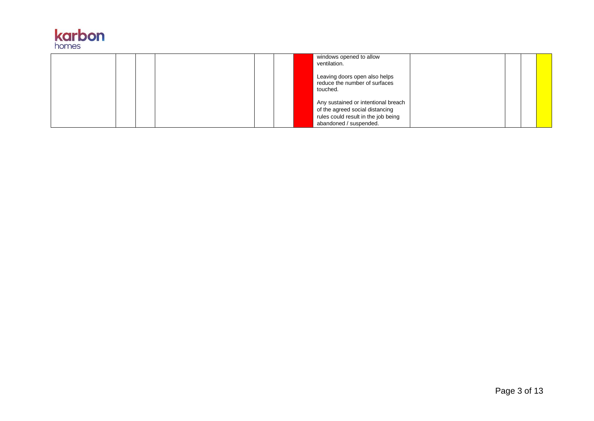

|  |  |  | windows opened to allow<br>ventilation.                                                                                                 |  |  |
|--|--|--|-----------------------------------------------------------------------------------------------------------------------------------------|--|--|
|  |  |  | Leaving doors open also helps<br>reduce the number of surfaces<br>touched.                                                              |  |  |
|  |  |  | Any sustained or intentional breach<br>of the agreed social distancing<br>rules could result in the job being<br>abandoned / suspended. |  |  |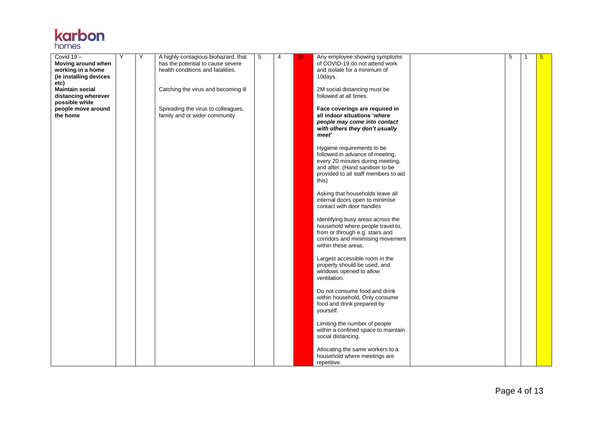

| Covid $19 -$                            | Y | Y | A highly contagious biohazard, that                                    | 5 | $\overline{4}$ | 20 | Any employee showing symptoms                                       | 5 | -1 | 5 <sup>5</sup> |
|-----------------------------------------|---|---|------------------------------------------------------------------------|---|----------------|----|---------------------------------------------------------------------|---|----|----------------|
| Moving around when<br>working in a home |   |   | has the potential to cause severe<br>health conditions and fatalities. |   |                |    | of COVID-19 do not attend work<br>and isolate for a minimum of      |   |    |                |
| (ie installing devices                  |   |   |                                                                        |   |                |    | 10days.                                                             |   |    |                |
| etc)                                    |   |   |                                                                        |   |                |    |                                                                     |   |    |                |
| <b>Maintain social</b>                  |   |   | Catching the virus and becoming ill                                    |   |                |    | 2M social distancing must be                                        |   |    |                |
| distancing wherever                     |   |   |                                                                        |   |                |    | followed at all times.                                              |   |    |                |
| possible while                          |   |   |                                                                        |   |                |    |                                                                     |   |    |                |
| people move around                      |   |   | Spreading the virus to colleagues,                                     |   |                |    | Face coverings are required in                                      |   |    |                |
| the home                                |   |   | family and or wider community                                          |   |                |    | all indoor situations 'where<br>people may come into contact        |   |    |                |
|                                         |   |   |                                                                        |   |                |    | with others they don't usually                                      |   |    |                |
|                                         |   |   |                                                                        |   |                |    | meet'                                                               |   |    |                |
|                                         |   |   |                                                                        |   |                |    |                                                                     |   |    |                |
|                                         |   |   |                                                                        |   |                |    | Hygiene requirements to be                                          |   |    |                |
|                                         |   |   |                                                                        |   |                |    | followed in advance of meeting,<br>every 20 minutes during meeting, |   |    |                |
|                                         |   |   |                                                                        |   |                |    | and after. (Hand sanitiser to be                                    |   |    |                |
|                                         |   |   |                                                                        |   |                |    | provided to all staff members to aid                                |   |    |                |
|                                         |   |   |                                                                        |   |                |    | this)                                                               |   |    |                |
|                                         |   |   |                                                                        |   |                |    |                                                                     |   |    |                |
|                                         |   |   |                                                                        |   |                |    | Asking that households leave all<br>internal doors open to minimise |   |    |                |
|                                         |   |   |                                                                        |   |                |    | contact with door handles                                           |   |    |                |
|                                         |   |   |                                                                        |   |                |    |                                                                     |   |    |                |
|                                         |   |   |                                                                        |   |                |    | Identifying busy areas across the                                   |   |    |                |
|                                         |   |   |                                                                        |   |                |    | household where people travel to,                                   |   |    |                |
|                                         |   |   |                                                                        |   |                |    | from or through e.g. stairs and                                     |   |    |                |
|                                         |   |   |                                                                        |   |                |    | corridors and minimising movement<br>within these areas.            |   |    |                |
|                                         |   |   |                                                                        |   |                |    |                                                                     |   |    |                |
|                                         |   |   |                                                                        |   |                |    | Largest accessible room in the                                      |   |    |                |
|                                         |   |   |                                                                        |   |                |    | property should be used, and                                        |   |    |                |
|                                         |   |   |                                                                        |   |                |    | windows opened to allow                                             |   |    |                |
|                                         |   |   |                                                                        |   |                |    | ventilation.                                                        |   |    |                |
|                                         |   |   |                                                                        |   |                |    | Do not consume food and drink                                       |   |    |                |
|                                         |   |   |                                                                        |   |                |    | within household, Only consume                                      |   |    |                |
|                                         |   |   |                                                                        |   |                |    | food and drink prepared by                                          |   |    |                |
|                                         |   |   |                                                                        |   |                |    | yourself.                                                           |   |    |                |
|                                         |   |   |                                                                        |   |                |    | Limiting the number of people                                       |   |    |                |
|                                         |   |   |                                                                        |   |                |    | within a confined space to maintain                                 |   |    |                |
|                                         |   |   |                                                                        |   |                |    | social distancing.                                                  |   |    |                |
|                                         |   |   |                                                                        |   |                |    |                                                                     |   |    |                |
|                                         |   |   |                                                                        |   |                |    | Allocating the same workers to a                                    |   |    |                |
|                                         |   |   |                                                                        |   |                |    | household where meetings are                                        |   |    |                |
|                                         |   |   |                                                                        |   |                |    | repetitive.                                                         |   |    |                |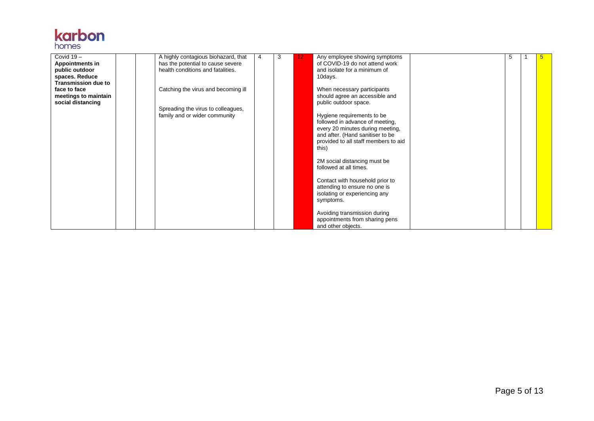

| Covid $19 -$               |  | A highly contagious biohazard, that | 4 | 3 | 12 <sub>2</sub> | Any employee showing symptoms        | 5 | ь |
|----------------------------|--|-------------------------------------|---|---|-----------------|--------------------------------------|---|---|
| <b>Appointments in</b>     |  | has the potential to cause severe   |   |   |                 | of COVID-19 do not attend work       |   |   |
| public outdoor             |  | health conditions and fatalities.   |   |   |                 | and isolate for a minimum of         |   |   |
| spaces. Reduce             |  |                                     |   |   |                 | 10days.                              |   |   |
| <b>Transmission due to</b> |  |                                     |   |   |                 |                                      |   |   |
| face to face               |  | Catching the virus and becoming ill |   |   |                 | When necessary participants          |   |   |
| meetings to maintain       |  |                                     |   |   |                 | should agree an accessible and       |   |   |
| social distancing          |  |                                     |   |   |                 | public outdoor space.                |   |   |
|                            |  | Spreading the virus to colleagues,  |   |   |                 |                                      |   |   |
|                            |  | family and or wider community       |   |   |                 | Hygiene requirements to be           |   |   |
|                            |  |                                     |   |   |                 | followed in advance of meeting,      |   |   |
|                            |  |                                     |   |   |                 | every 20 minutes during meeting,     |   |   |
|                            |  |                                     |   |   |                 | and after. (Hand sanitiser to be     |   |   |
|                            |  |                                     |   |   |                 | provided to all staff members to aid |   |   |
|                            |  |                                     |   |   |                 | this)                                |   |   |
|                            |  |                                     |   |   |                 |                                      |   |   |
|                            |  |                                     |   |   |                 | 2M social distancing must be         |   |   |
|                            |  |                                     |   |   |                 | followed at all times.               |   |   |
|                            |  |                                     |   |   |                 |                                      |   |   |
|                            |  |                                     |   |   |                 |                                      |   |   |
|                            |  |                                     |   |   |                 | Contact with household prior to      |   |   |
|                            |  |                                     |   |   |                 | attending to ensure no one is        |   |   |
|                            |  |                                     |   |   |                 | isolating or experiencing any        |   |   |
|                            |  |                                     |   |   |                 | symptoms.                            |   |   |
|                            |  |                                     |   |   |                 |                                      |   |   |
|                            |  |                                     |   |   |                 | Avoiding transmission during         |   |   |
|                            |  |                                     |   |   |                 | appointments from sharing pens       |   |   |
|                            |  |                                     |   |   |                 | and other objects.                   |   |   |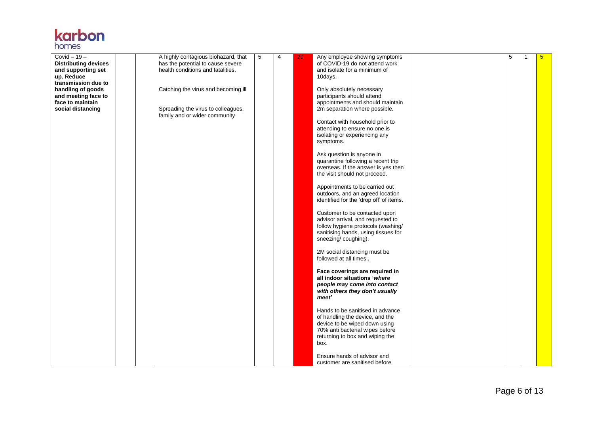

| $Covid - 19 -$<br><b>Distributing devices</b><br>and supporting set<br>up. Reduce<br>transmission due to<br>handling of goods<br>and meeting face to<br>face to maintain<br>social distancing | A highly contagious biohazard, that<br>has the potential to cause severe<br>health conditions and fatalities.<br>Catching the virus and becoming ill<br>Spreading the virus to colleagues,<br>family and or wider community | 5 | 4 | 20 | Any employee showing symptoms<br>of COVID-19 do not attend work<br>and isolate for a minimum of<br>10days.<br>Only absolutely necessary<br>participants should attend<br>appointments and should maintain<br>2m separation where possible.<br>Contact with household prior to<br>attending to ensure no one is<br>isolating or experiencing any<br>symptoms.<br>Ask question is anyone in<br>quarantine following a recent trip<br>overseas. If the answer is yes then<br>the visit should not proceed.<br>Appointments to be carried out<br>outdoors, and an agreed location<br>identified for the 'drop off' of items. | 5 | $5\overline{)}$ |
|-----------------------------------------------------------------------------------------------------------------------------------------------------------------------------------------------|-----------------------------------------------------------------------------------------------------------------------------------------------------------------------------------------------------------------------------|---|---|----|--------------------------------------------------------------------------------------------------------------------------------------------------------------------------------------------------------------------------------------------------------------------------------------------------------------------------------------------------------------------------------------------------------------------------------------------------------------------------------------------------------------------------------------------------------------------------------------------------------------------------|---|-----------------|
|                                                                                                                                                                                               |                                                                                                                                                                                                                             |   |   |    | Customer to be contacted upon<br>advisor arrival, and requested to<br>follow hygiene protocols (washing/<br>sanitising hands, using tissues for<br>sneezing/coughing).<br>2M social distancing must be<br>followed at all times<br>Face coverings are required in<br>all indoor situations 'where<br>people may come into contact<br>with others they don't usually<br>meet'<br>Hands to be sanitised in advance<br>of handling the device, and the<br>device to be wiped down using<br>70% anti bacterial wipes before                                                                                                  |   |                 |
|                                                                                                                                                                                               |                                                                                                                                                                                                                             |   |   |    | returning to box and wiping the<br>box.<br>Ensure hands of advisor and<br>customer are sanitised before                                                                                                                                                                                                                                                                                                                                                                                                                                                                                                                  |   |                 |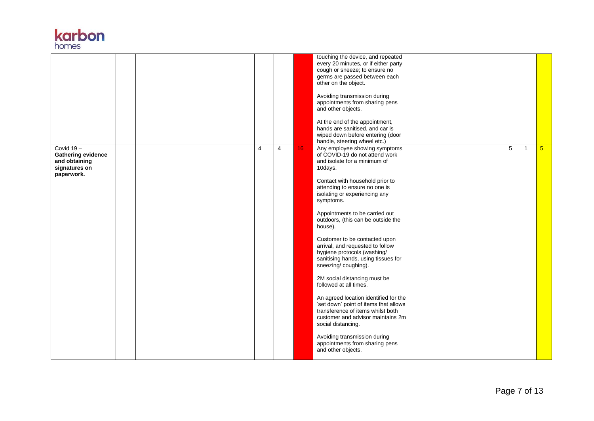

|                                                                                           |  |   |                |                 | touching the device, and repeated<br>every 20 minutes, or if either party<br>cough or sneeze; to ensure no<br>germs are passed between each<br>other on the object.<br>Avoiding transmission during<br>appointments from sharing pens<br>and other objects.<br>At the end of the appointment,<br>hands are sanitised, and car is<br>wiped down before entering (door<br>handle, steering wheel etc.)                                                                                                                                                                                                                                                                                                                                                                                                                  |   |                |
|-------------------------------------------------------------------------------------------|--|---|----------------|-----------------|-----------------------------------------------------------------------------------------------------------------------------------------------------------------------------------------------------------------------------------------------------------------------------------------------------------------------------------------------------------------------------------------------------------------------------------------------------------------------------------------------------------------------------------------------------------------------------------------------------------------------------------------------------------------------------------------------------------------------------------------------------------------------------------------------------------------------|---|----------------|
| Covid $19 -$<br><b>Gathering evidence</b><br>and obtaining<br>signatures on<br>paperwork. |  | 4 | $\overline{4}$ | 16 <sup>°</sup> | Any employee showing symptoms<br>of COVID-19 do not attend work<br>and isolate for a minimum of<br>10days.<br>Contact with household prior to<br>attending to ensure no one is<br>isolating or experiencing any<br>symptoms.<br>Appointments to be carried out<br>outdoors, (this can be outside the<br>house).<br>Customer to be contacted upon<br>arrival, and requested to follow<br>hygiene protocols (washing/<br>sanitising hands, using tissues for<br>sneezing/coughing).<br>2M social distancing must be<br>followed at all times.<br>An agreed location identified for the<br>'set down' point of items that allows<br>transference of items whilst both<br>customer and advisor maintains 2m<br>social distancing.<br>Avoiding transmission during<br>appointments from sharing pens<br>and other objects. | 5 | 5 <sup>5</sup> |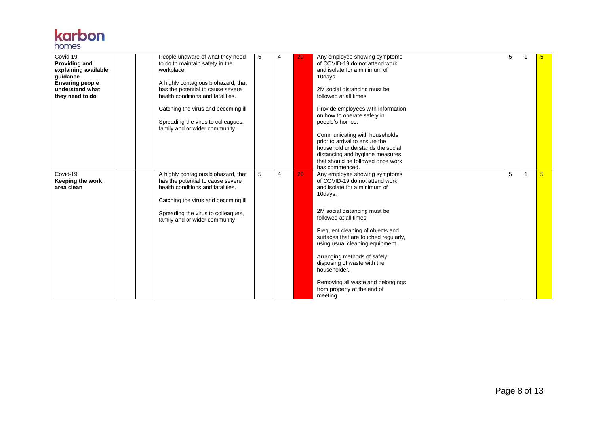

| Covid-19<br><b>Providing and</b><br>explaining available<br>guidance<br><b>Ensuring people</b><br>understand what<br>they need to do |  | People unaware of what they need<br>to do to maintain safety in the<br>workplace.<br>A highly contagious biohazard, that<br>has the potential to cause severe<br>health conditions and fatalities.<br>Catching the virus and becoming ill<br>Spreading the virus to colleagues,<br>family and or wider community | 5 | 4 | 20              | Any employee showing symptoms<br>of COVID-19 do not attend work<br>and isolate for a minimum of<br>10days.<br>2M social distancing must be<br>followed at all times.<br>Provide employees with information<br>on how to operate safely in<br>people's homes.<br>Communicating with households<br>prior to arrival to ensure the<br>household understands the social<br>distancing and hygiene measures<br>that should be followed once work<br>has commenced. | 5 | 5               |
|--------------------------------------------------------------------------------------------------------------------------------------|--|------------------------------------------------------------------------------------------------------------------------------------------------------------------------------------------------------------------------------------------------------------------------------------------------------------------|---|---|-----------------|---------------------------------------------------------------------------------------------------------------------------------------------------------------------------------------------------------------------------------------------------------------------------------------------------------------------------------------------------------------------------------------------------------------------------------------------------------------|---|-----------------|
| Covid-19<br>Keeping the work<br>area clean                                                                                           |  | A highly contagious biohazard, that<br>has the potential to cause severe<br>health conditions and fatalities.<br>Catching the virus and becoming ill<br>Spreading the virus to colleagues,<br>family and or wider community                                                                                      | 5 | 4 | 20 <sub>1</sub> | Any employee showing symptoms<br>of COVID-19 do not attend work<br>and isolate for a minimum of<br>10days.<br>2M social distancing must be<br>followed at all times<br>Frequent cleaning of objects and<br>surfaces that are touched regularly,<br>using usual cleaning equipment.<br>Arranging methods of safely<br>disposing of waste with the<br>householder.<br>Removing all waste and belongings<br>from property at the end of<br>meeting.              | 5 | $5\overline{)}$ |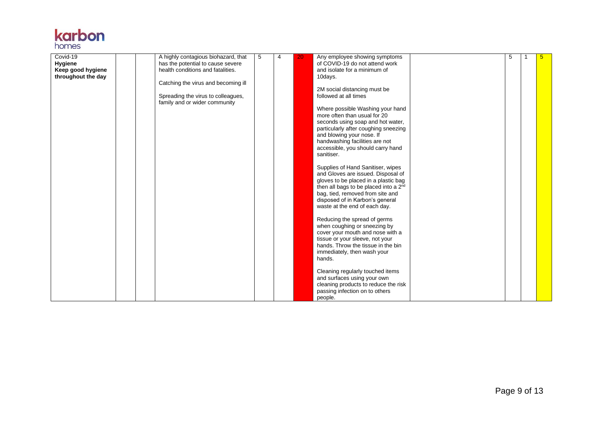

| Covid-19           |  | A highly contagious biohazard, that | 5 | 4 | 20 | Any employee showing symptoms                     | 5 | 5 |
|--------------------|--|-------------------------------------|---|---|----|---------------------------------------------------|---|---|
| Hygiene            |  | has the potential to cause severe   |   |   |    | of COVID-19 do not attend work                    |   |   |
| Keep good hygiene  |  | health conditions and fatalities.   |   |   |    | and isolate for a minimum of                      |   |   |
| throughout the day |  |                                     |   |   |    | 10days.                                           |   |   |
|                    |  | Catching the virus and becoming ill |   |   |    |                                                   |   |   |
|                    |  |                                     |   |   |    | 2M social distancing must be                      |   |   |
|                    |  | Spreading the virus to colleagues,  |   |   |    | followed at all times                             |   |   |
|                    |  | family and or wider community       |   |   |    |                                                   |   |   |
|                    |  |                                     |   |   |    | Where possible Washing your hand                  |   |   |
|                    |  |                                     |   |   |    | more often than usual for 20                      |   |   |
|                    |  |                                     |   |   |    | seconds using soap and hot water,                 |   |   |
|                    |  |                                     |   |   |    | particularly after coughing sneezing              |   |   |
|                    |  |                                     |   |   |    | and blowing your nose. If                         |   |   |
|                    |  |                                     |   |   |    | handwashing facilities are not                    |   |   |
|                    |  |                                     |   |   |    | accessible, you should carry hand                 |   |   |
|                    |  |                                     |   |   |    | sanitiser.                                        |   |   |
|                    |  |                                     |   |   |    |                                                   |   |   |
|                    |  |                                     |   |   |    |                                                   |   |   |
|                    |  |                                     |   |   |    | Supplies of Hand Sanitiser, wipes                 |   |   |
|                    |  |                                     |   |   |    | and Gloves are issued. Disposal of                |   |   |
|                    |  |                                     |   |   |    | gloves to be placed in a plastic bag              |   |   |
|                    |  |                                     |   |   |    | then all bags to be placed into a 2 <sup>nd</sup> |   |   |
|                    |  |                                     |   |   |    | bag, tied, removed from site and                  |   |   |
|                    |  |                                     |   |   |    | disposed of in Karbon's general                   |   |   |
|                    |  |                                     |   |   |    | waste at the end of each day.                     |   |   |
|                    |  |                                     |   |   |    |                                                   |   |   |
|                    |  |                                     |   |   |    | Reducing the spread of germs                      |   |   |
|                    |  |                                     |   |   |    | when coughing or sneezing by                      |   |   |
|                    |  |                                     |   |   |    | cover your mouth and nose with a                  |   |   |
|                    |  |                                     |   |   |    | tissue or your sleeve, not your                   |   |   |
|                    |  |                                     |   |   |    | hands. Throw the tissue in the bin                |   |   |
|                    |  |                                     |   |   |    | immediately, then wash your                       |   |   |
|                    |  |                                     |   |   |    | hands.                                            |   |   |
|                    |  |                                     |   |   |    |                                                   |   |   |
|                    |  |                                     |   |   |    | Cleaning regularly touched items                  |   |   |
|                    |  |                                     |   |   |    | and surfaces using your own                       |   |   |
|                    |  |                                     |   |   |    | cleaning products to reduce the risk              |   |   |
|                    |  |                                     |   |   |    | passing infection on to others                    |   |   |
|                    |  |                                     |   |   |    | people.                                           |   |   |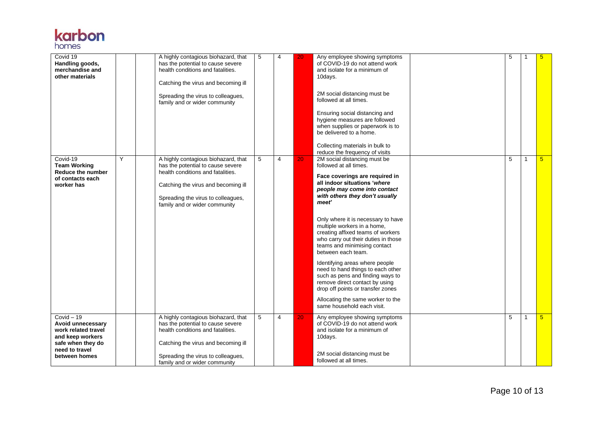

| Covid 19<br>Handling goods,<br>merchandise and<br>other materials                                                                              |   | A highly contagious biohazard, that<br>has the potential to cause severe<br>health conditions and fatalities.<br>Catching the virus and becoming ill<br>Spreading the virus to colleagues,<br>family and or wider community | 5 | $\overline{4}$ | 20 | Any employee showing symptoms<br>of COVID-19 do not attend work<br>and isolate for a minimum of<br>10days.<br>2M social distancing must be<br>followed at all times.<br>Ensuring social distancing and<br>hygiene measures are followed<br>when supplies or paperwork is to<br>be delivered to a home.<br>Collecting materials in bulk to<br>reduce the frequency of visits                                                                                                                                                                                                                                                                                     | 5 |              | 5              |
|------------------------------------------------------------------------------------------------------------------------------------------------|---|-----------------------------------------------------------------------------------------------------------------------------------------------------------------------------------------------------------------------------|---|----------------|----|-----------------------------------------------------------------------------------------------------------------------------------------------------------------------------------------------------------------------------------------------------------------------------------------------------------------------------------------------------------------------------------------------------------------------------------------------------------------------------------------------------------------------------------------------------------------------------------------------------------------------------------------------------------------|---|--------------|----------------|
| Covid-19<br><b>Team Working</b><br>Reduce the number<br>of contacts each<br>worker has                                                         | Y | A highly contagious biohazard, that<br>has the potential to cause severe<br>health conditions and fatalities.<br>Catching the virus and becoming ill<br>Spreading the virus to colleagues,<br>family and or wider community | 5 | $\overline{4}$ | 20 | 2M social distancing must be<br>followed at all times.<br>Face coverings are required in<br>all indoor situations 'where<br>people may come into contact<br>with others they don't usually<br>meet'<br>Only where it is necessary to have<br>multiple workers in a home,<br>creating affixed teams of workers<br>who carry out their duties in those<br>teams and minimising contact<br>between each team.<br>Identifying areas where people<br>need to hand things to each other<br>such as pens and finding ways to<br>remove direct contact by using<br>drop off points or transfer zones<br>Allocating the same worker to the<br>same household each visit. | 5 | $\mathbf{1}$ | 5 <sup>1</sup> |
| Covid $-\overline{19}$<br>Avoid unnecessary<br>work related travel<br>and keep workers<br>safe when they do<br>need to travel<br>between homes |   | A highly contagious biohazard, that<br>has the potential to cause severe<br>health conditions and fatalities.<br>Catching the virus and becoming ill<br>Spreading the virus to colleagues,<br>family and or wider community | 5 | $\overline{4}$ | 20 | Any employee showing symptoms<br>of COVID-19 do not attend work<br>and isolate for a minimum of<br>10days.<br>2M social distancing must be<br>followed at all times.                                                                                                                                                                                                                                                                                                                                                                                                                                                                                            | 5 | $\mathbf{1}$ | 5 <sup>1</sup> |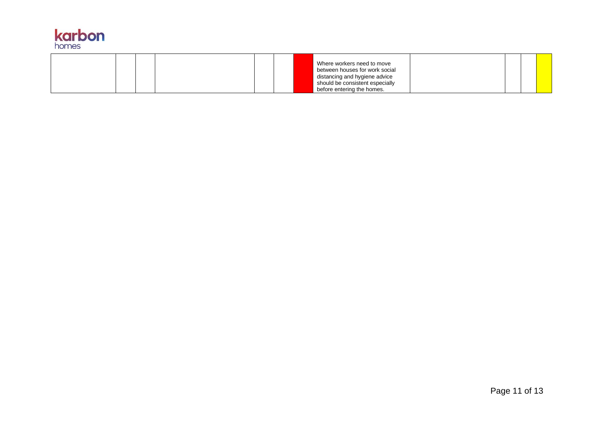

|  |  |  | Where workers need to move<br>between houses for work social<br>distancing and hygiene advice |  |  |
|--|--|--|-----------------------------------------------------------------------------------------------|--|--|
|  |  |  | should be consistent especially                                                               |  |  |
|  |  |  | before entering the homes.                                                                    |  |  |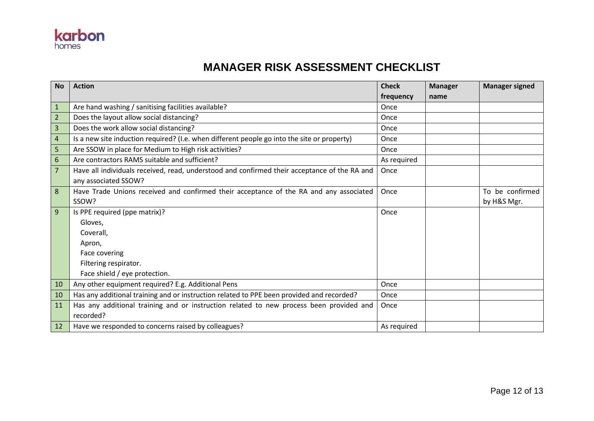

## **MANAGER RISK ASSESSMENT CHECKLIST**

| <b>No</b>       | <b>Action</b>                                                                                | <b>Check</b> | <b>Manager</b> | <b>Manager signed</b> |
|-----------------|----------------------------------------------------------------------------------------------|--------------|----------------|-----------------------|
|                 |                                                                                              | frequency    | name           |                       |
| $\mathbf{1}$    | Are hand washing / sanitising facilities available?                                          | Once         |                |                       |
| $\overline{2}$  | Does the layout allow social distancing?                                                     | Once         |                |                       |
| 3               | Does the work allow social distancing?                                                       | Once         |                |                       |
| $\overline{4}$  | Is a new site induction required? (I.e. when different people go into the site or property)  | Once         |                |                       |
| 5               | Are SSOW in place for Medium to High risk activities?                                        | Once         |                |                       |
| $6\phantom{1}6$ | Are contractors RAMS suitable and sufficient?                                                | As required  |                |                       |
| $\overline{7}$  | Have all individuals received, read, understood and confirmed their acceptance of the RA and | Once         |                |                       |
|                 | any associated SSOW?                                                                         |              |                |                       |
| 8               | Have Trade Unions received and confirmed their acceptance of the RA and any associated       | Once         |                | To be confirmed       |
|                 | SSOW?                                                                                        |              |                | by H&S Mgr.           |
| 9               | Is PPE required (ppe matrix)?                                                                | Once         |                |                       |
|                 | Gloves,                                                                                      |              |                |                       |
|                 | Coverall,                                                                                    |              |                |                       |
|                 | Apron,                                                                                       |              |                |                       |
|                 | Face covering                                                                                |              |                |                       |
|                 | Filtering respirator.                                                                        |              |                |                       |
|                 | Face shield / eye protection.                                                                |              |                |                       |
| 10              | Any other equipment required? E.g. Additional Pens                                           | Once         |                |                       |
| 10              | Has any additional training and or instruction related to PPE been provided and recorded?    | Once         |                |                       |
| 11              | Has any additional training and or instruction related to new process been provided and      | Once         |                |                       |
|                 | recorded?                                                                                    |              |                |                       |
| 12              | Have we responded to concerns raised by colleagues?                                          | As required  |                |                       |